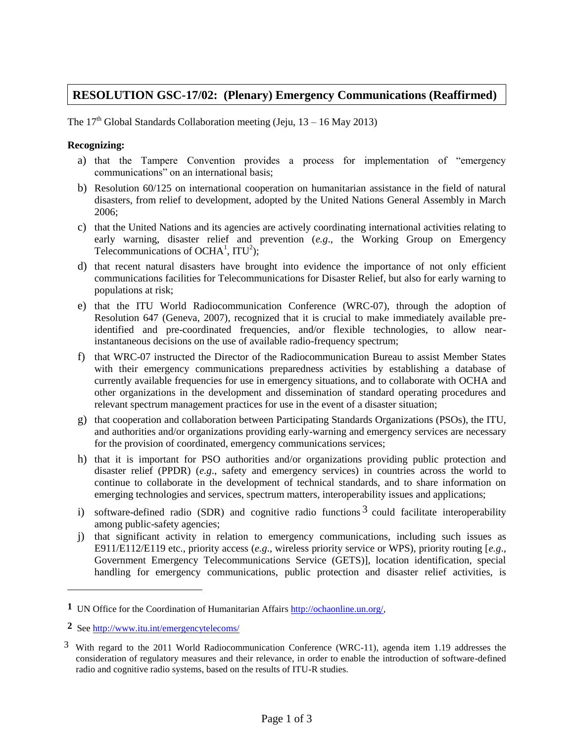## **RESOLUTION GSC-17/02: (Plenary) Emergency Communications (Reaffirmed)**

The  $17<sup>th</sup>$  Global Standards Collaboration meeting (Jeju,  $13 - 16$  May 2013)

## **Recognizing:**

- a) that the Tampere Convention provides a process for implementation of "emergency communications" on an international basis;
- b) Resolution 60/125 on international cooperation on humanitarian assistance in the field of natural disasters, from relief to development, adopted by the United Nations General Assembly in March 2006;
- c) that the United Nations and its agencies are actively coordinating international activities relating to early warning, disaster relief and prevention (*e.g*., the Working Group on Emergency Telecommunications of OCHA<sup>1</sup>, ITU<sup>2</sup>);
- d) that recent natural disasters have brought into evidence the importance of not only efficient communications facilities for Telecommunications for Disaster Relief, but also for early warning to populations at risk;
- e) that the ITU World Radiocommunication Conference (WRC-07), through the adoption of Resolution 647 (Geneva, 2007), recognized that it is crucial to make immediately available preidentified and pre-coordinated frequencies, and/or flexible technologies, to allow nearinstantaneous decisions on the use of available radio-frequency spectrum;
- f) that WRC-07 instructed the Director of the Radiocommunication Bureau to assist Member States with their emergency communications preparedness activities by establishing a database of currently available frequencies for use in emergency situations, and to collaborate with OCHA and other organizations in the development and dissemination of standard operating procedures and relevant spectrum management practices for use in the event of a disaster situation;
- g) that cooperation and collaboration between Participating Standards Organizations (PSOs), the ITU, and authorities and/or organizations providing early-warning and emergency services are necessary for the provision of coordinated, emergency communications services;
- h) that it is important for PSO authorities and/or organizations providing public protection and disaster relief (PPDR) (*e.g*., safety and emergency services) in countries across the world to continue to collaborate in the development of technical standards, and to share information on emerging technologies and services, spectrum matters, interoperability issues and applications;
- i) software-defined radio (SDR) and cognitive radio functions  $3$  could facilitate interoperability among public-safety agencies;
- j) that significant activity in relation to emergency communications, including such issues as E911/E112/E119 etc., priority access (*e.g*., wireless priority service or WPS), priority routing [*e.g*., Government Emergency Telecommunications Service (GETS)], location identification, special handling for emergency communications, public protection and disaster relief activities, is

 $\overline{a}$ 

**<sup>1</sup>** UN Office for the Coordination of Humanitarian Affairs [http://ochaonline.un.org/,](http://ochaonline.un.org/)

**<sup>2</sup>** See<http://www.itu.int/emergencytelecoms/>

<sup>3</sup> With regard to the 2011 World Radiocommunication Conference (WRC-11), agenda item 1.19 addresses the consideration of regulatory measures and their relevance, in order to enable the introduction of software-defined radio and cognitive radio systems, based on the results of ITU-R studies.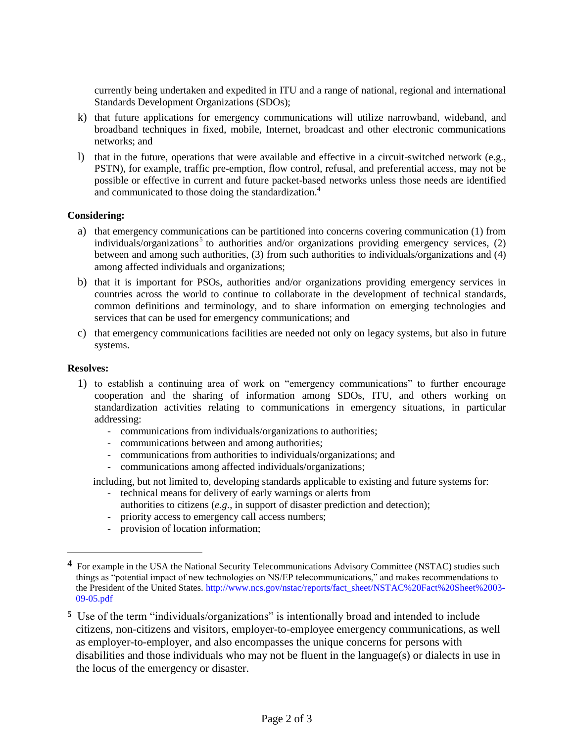currently being undertaken and expedited in ITU and a range of national, regional and international Standards Development Organizations (SDOs);

- k) that future applications for emergency communications will utilize narrowband, wideband, and broadband techniques in fixed, mobile, Internet, broadcast and other electronic communications networks; and
- l) that in the future, operations that were available and effective in a circuit-switched network (e.g., PSTN), for example, traffic pre-emption, flow control, refusal, and preferential access, may not be possible or effective in current and future packet-based networks unless those needs are identified and communicated to those doing the standardization.<sup>4</sup>

## **Considering:**

- a) that emergency communications can be partitioned into concerns covering communication (1) from individuals/organizations<sup>5</sup> to authorities and/or organizations providing emergency services, (2) between and among such authorities, (3) from such authorities to individuals/organizations and (4) among affected individuals and organizations;
- b) that it is important for PSOs, authorities and/or organizations providing emergency services in countries across the world to continue to collaborate in the development of technical standards, common definitions and terminology, and to share information on emerging technologies and services that can be used for emergency communications; and
- c) that emergency communications facilities are needed not only on legacy systems, but also in future systems.

## **Resolves:**

 $\overline{a}$ 

- 1) to establish a continuing area of work on "emergency communications" to further encourage cooperation and the sharing of information among SDOs, ITU, and others working on standardization activities relating to communications in emergency situations, in particular addressing:
	- communications from individuals/organizations to authorities;
	- communications between and among authorities;
	- communications from authorities to individuals/organizations; and
	- communications among affected individuals/organizations;

including, but not limited to, developing standards applicable to existing and future systems for:

- technical means for delivery of early warnings or alerts from authorities to citizens (*e.g*., in support of disaster prediction and detection);
- priority access to emergency call access numbers;
- provision of location information;

**<sup>4</sup>** For example in the USA the National Security Telecommunications Advisory Committee (NSTAC) studies such things as "potential impact of new technologies on NS/EP telecommunications," and makes recommendations to the President of the United States. http://www.ncs.gov/nstac/reports/fact\_sheet/NSTAC%20Fact%20Sheet%2003- 09-05.pdf

**<sup>5</sup>** Use of the term "individuals/organizations" is intentionally broad and intended to include citizens, non-citizens and visitors, employer-to-employee emergency communications, as well as employer-to-employer, and also encompasses the unique concerns for persons with disabilities and those individuals who may not be fluent in the language(s) or dialects in use in the locus of the emergency or disaster.